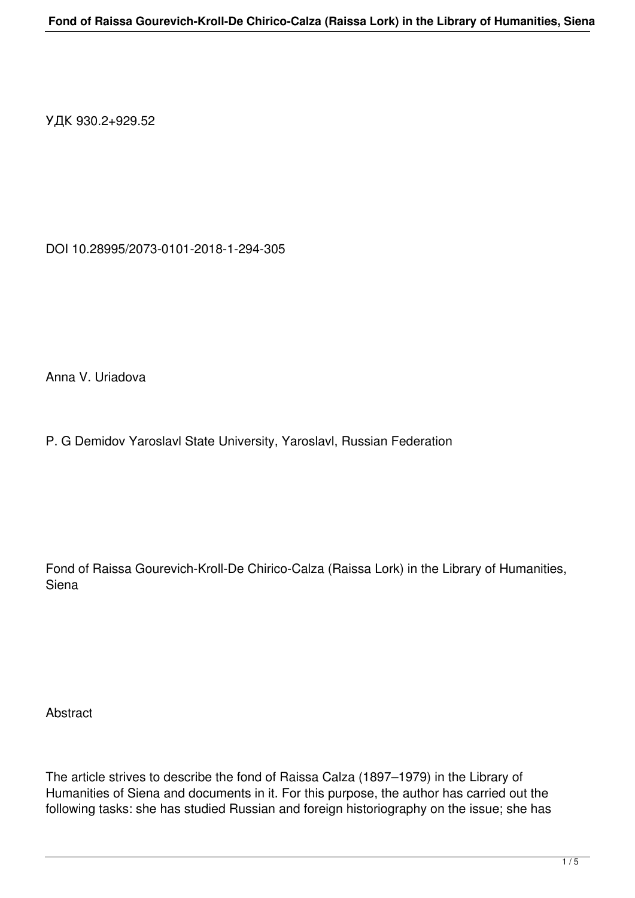УДК 930.2+929.52

DOI 10.28995/2073-0101-2018-1-294-305

Anna V. Uriadova

P. G Demidov Yaroslavl State University, Yaroslavl, Russian Federation

Fond of Raissa Gourevich-Kroll-De Chirico-Calza (Raissa Lork) in the Library of Humanities, Siena

**Abstract** 

The article strives to describe the fond of Raissa Calza (1897–1979) in the Library of Humanities of Siena and documents in it. For this purpose, the author has carried out the following tasks: she has studied Russian and foreign historiography on the issue; she has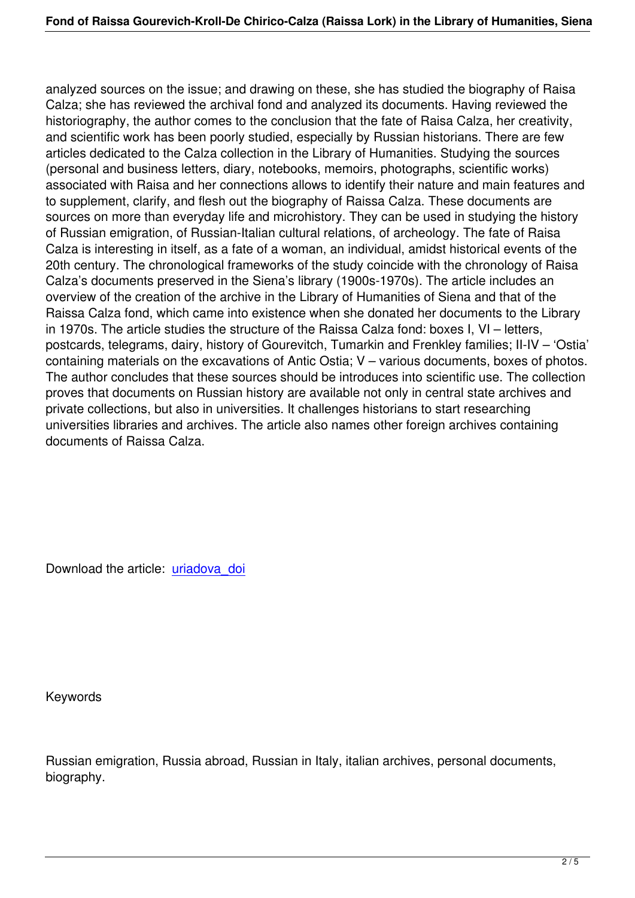analyzed sources on the issue; and drawing on these, she has studied the biography of Raisa Calza; she has reviewed the archival fond and analyzed its documents. Having reviewed the historiography, the author comes to the conclusion that the fate of Raisa Calza, her creativity, and scientific work has been poorly studied, especially by Russian historians. There are few articles dedicated to the Calza collection in the Library of Humanities. Studying the sources (personal and business letters, diary, notebooks, memoirs, photographs, scientific works) associated with Raisa and her connections allows to identify their nature and main features and to supplement, clarify, and flesh out the biography of Raissa Calza. These documents are sources on more than everyday life and microhistory. They can be used in studying the history of Russian emigration, of Russian-Italian cultural relations, of archeology. The fate of Raisa Calza is interesting in itself, as a fate of a woman, an individual, amidst historical events of the 20th century. The chronological frameworks of the study coincide with the chronology of Raisa Calza's documents preserved in the Siena's library (1900s-1970s). The article includes an overview of the creation of the archive in the Library of Humanities of Siena and that of the Raissa Calza fond, which came into existence when she donated her documents to the Library in 1970s. The article studies the structure of the Raissa Calza fond: boxes I, VI – letters, postcards, telegrams, dairy, history of Gourevitch, Tumarkin and Frenkley families; II-IV – 'Ostia' containing materials on the excavations of Antic Ostia; V – various documents, boxes of photos. The author concludes that these sources should be introduces into scientific use. The collection proves that documents on Russian history are available not only in central state archives and private collections, but also in universities. It challenges historians to start researching universities libraries and archives. The article also names other foreign archives containing documents of Raissa Calza.

Download the article: uriadova doi

Keywords

Russian emigration, Russia abroad, Russian in Italy, italian archives, personal documents, biography.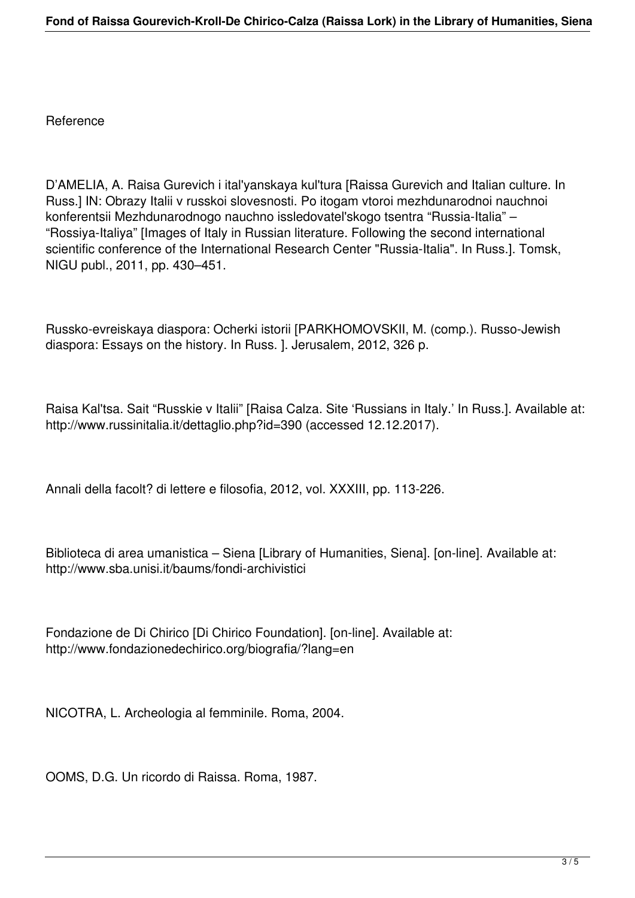Reference

D'AMELIA, A. Raisa Gurevich i ital'yanskaya kul'tura [Raissa Gurevich and Italian culture. In Russ.] IN: Obrazy Italii v russkoi slovesnosti. Po itogam vtoroi mezhdunarodnoi nauchnoi konferentsii Mezhdunarodnogo nauchno issledovatel'skogo tsentra "Russia-Italia" – "Rossiya-Italiya" [Images of Italy in Russian literature. Following the second international scientific conference of the International Research Center "Russia-Italia". In Russ.]. Tomsk, NIGU publ., 2011, pp. 430–451.

Russko-evreiskaya diaspora: Ocherki istorii [PARKHOMOVSKII, M. (comp.). Russo-Jewish diaspora: Essays on the history. In Russ. ]. Jerusalem, 2012, 326 p.

Raisa Kal'tsa. Sait "Russkie v Italii" [Raisa Calza. Site 'Russians in Italy.' In Russ.]. Available at: http://www.russinitalia.it/dettaglio.php?id=390 (accessed 12.12.2017).

Annali della facolt? di lettere e filosofia, 2012, vol. XXXIII, pp. 113-226.

Biblioteca di area umanistica – Siena [Library of Humanities, Siena]. [on-line]. Available at: http://www.sba.unisi.it/baums/fondi-archivistici

Fondazione de Di Chirico [Di Chirico Foundation]. [on-line]. Available at: http://www.fondazionedechirico.org/biografia/?lang=en

NICOTRA, L. Archeologia al femminile. Roma, 2004.

OOMS, D.G. Un ricordo di Raissa. Roma, 1987.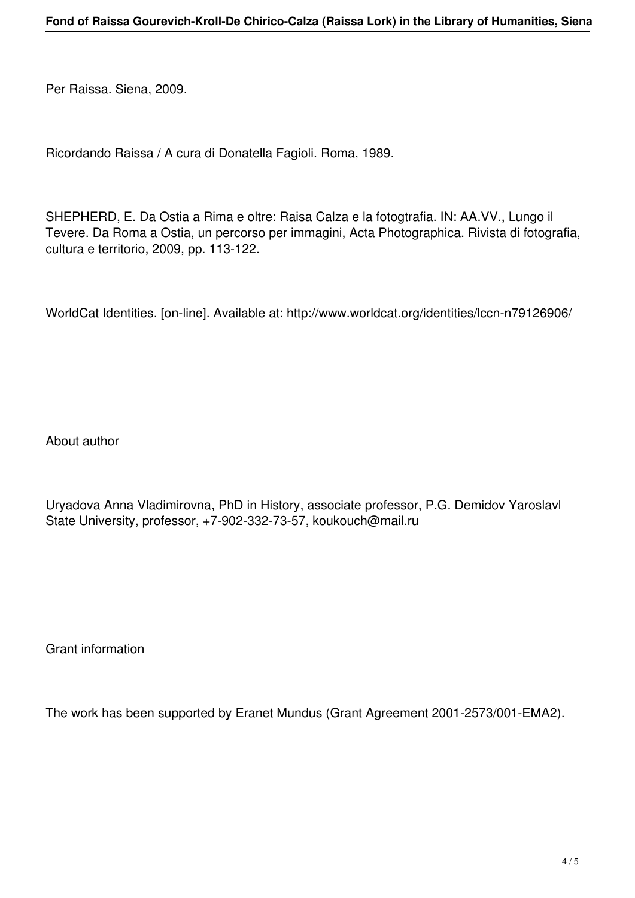Per Raissa. Siena, 2009.

Ricordando Raissa / A cura di Donatella Fagioli. Roma, 1989.

SHEPHERD, E. Da Ostia a Rima e oltre: Raisa Calza e la fotogtrafia. IN: AA.VV., Lungo il Tevere. Da Roma a Ostia, un percorso per immagini, Acta Photographica. Rivista di fotografia, cultura e territorio, 2009, pp. 113-122.

WorldCat Identities. [on-line]. Available at: http://www.worldcat.org/identities/lccn-n79126906/

About author

Uryadova Anna Vladimirovna, PhD in History, associate professor, P.G. Demidov Yaroslavl State University, professor, +7-902-332-73-57, koukouch@mail.ru

Grant information

The work has been supported by Eranet Mundus (Grant Agreement 2001-2573/001-EMA2).